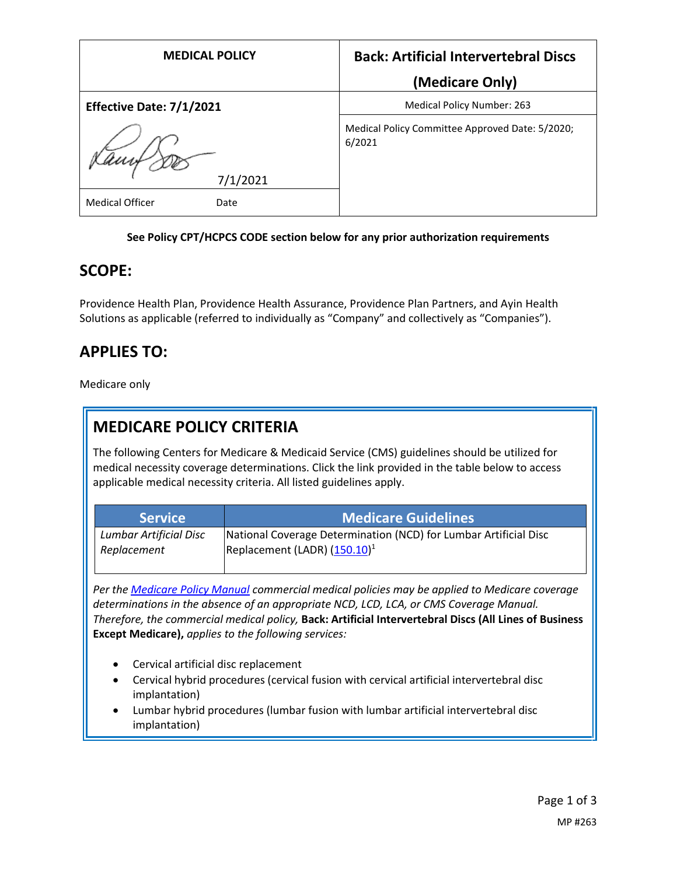| <b>MEDICAL POLICY</b>          | <b>Back: Artificial Intervertebral Discs</b>              |
|--------------------------------|-----------------------------------------------------------|
|                                | (Medicare Only)                                           |
| Effective Date: 7/1/2021       | Medical Policy Number: 263                                |
| 7/1/2021                       | Medical Policy Committee Approved Date: 5/2020;<br>6/2021 |
| <b>Medical Officer</b><br>Date |                                                           |

### **See Policy CPT/HCPCS CODE section below for any prior authorization requirements**

### **SCOPE:**

Providence Health Plan, Providence Health Assurance, Providence Plan Partners, and Ayin Health Solutions as applicable (referred to individually as "Company" and collectively as "Companies").

## **APPLIES TO:**

Medicare only

## **MEDICARE POLICY CRITERIA**

The following Centers for Medicare & Medicaid Service (CMS) guidelines should be utilized for medical necessity coverage determinations. Click the link provided in the table below to access applicable medical necessity criteria. All listed guidelines apply.

| <b>Service</b>         | <b>Medicare Guidelines</b>                                       |
|------------------------|------------------------------------------------------------------|
| Lumbar Artificial Disc | National Coverage Determination (NCD) for Lumbar Artificial Disc |
| Replacement            | Replacement (LADR) $(150.10)^1$                                  |

*Per th[e Medicare Policy Manual](https://s3-us-west-2.amazonaws.com/images.provhealth.org/Providence-Images/PHP_PHA_Medical_Policy_CMS_Manual.pdf) commercial medical policies may be applied to Medicare coverage determinations in the absence of an appropriate NCD, LCD, LCA, or CMS Coverage Manual. Therefore, the commercial medical policy,* **Back: Artificial Intervertebral Discs (All Lines of Business Except Medicare),** *applies to the following services:*

- Cervical artificial disc replacement
- Cervical hybrid procedures (cervical fusion with cervical artificial intervertebral disc implantation)
- Lumbar hybrid procedures (lumbar fusion with lumbar artificial intervertebral disc implantation)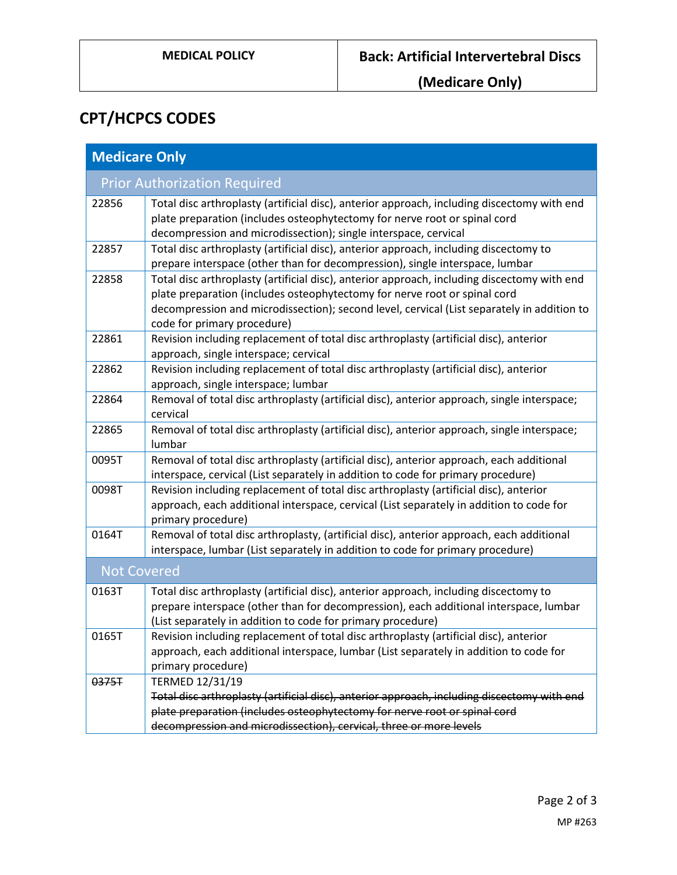**(Medicare Only)**

# **CPT/HCPCS CODES**

| <b>Medicare Only</b>                |                                                                                                                                                                                                                                                                                                       |  |
|-------------------------------------|-------------------------------------------------------------------------------------------------------------------------------------------------------------------------------------------------------------------------------------------------------------------------------------------------------|--|
| <b>Prior Authorization Required</b> |                                                                                                                                                                                                                                                                                                       |  |
| 22856                               | Total disc arthroplasty (artificial disc), anterior approach, including discectomy with end<br>plate preparation (includes osteophytectomy for nerve root or spinal cord<br>decompression and microdissection); single interspace, cervical                                                           |  |
| 22857                               | Total disc arthroplasty (artificial disc), anterior approach, including discectomy to<br>prepare interspace (other than for decompression), single interspace, lumbar                                                                                                                                 |  |
| 22858                               | Total disc arthroplasty (artificial disc), anterior approach, including discectomy with end<br>plate preparation (includes osteophytectomy for nerve root or spinal cord<br>decompression and microdissection); second level, cervical (List separately in addition to<br>code for primary procedure) |  |
| 22861                               | Revision including replacement of total disc arthroplasty (artificial disc), anterior<br>approach, single interspace; cervical                                                                                                                                                                        |  |
| 22862                               | Revision including replacement of total disc arthroplasty (artificial disc), anterior<br>approach, single interspace; lumbar                                                                                                                                                                          |  |
| 22864                               | Removal of total disc arthroplasty (artificial disc), anterior approach, single interspace;<br>cervical                                                                                                                                                                                               |  |
| 22865                               | Removal of total disc arthroplasty (artificial disc), anterior approach, single interspace;<br>lumbar                                                                                                                                                                                                 |  |
| 0095T                               | Removal of total disc arthroplasty (artificial disc), anterior approach, each additional<br>interspace, cervical (List separately in addition to code for primary procedure)                                                                                                                          |  |
| 0098T                               | Revision including replacement of total disc arthroplasty (artificial disc), anterior<br>approach, each additional interspace, cervical (List separately in addition to code for<br>primary procedure)                                                                                                |  |
| 0164T                               | Removal of total disc arthroplasty, (artificial disc), anterior approach, each additional<br>interspace, lumbar (List separately in addition to code for primary procedure)                                                                                                                           |  |
| <b>Not Covered</b>                  |                                                                                                                                                                                                                                                                                                       |  |
| 0163T                               | Total disc arthroplasty (artificial disc), anterior approach, including discectomy to<br>prepare interspace (other than for decompression), each additional interspace, lumbar<br>(List separately in addition to code for primary procedure)                                                         |  |
| 0165T                               | Revision including replacement of total disc arthroplasty (artificial disc), anterior<br>approach, each additional interspace, lumbar (List separately in addition to code for<br>primary procedure)                                                                                                  |  |
| 0375T                               | TERMED 12/31/19<br>Total disc arthroplasty (artificial disc), anterior approach, including discectomy with end<br>plate preparation (includes osteophytectomy for nerve root or spinal cord<br>decompression and microdissection), cervical, three or more levels                                     |  |